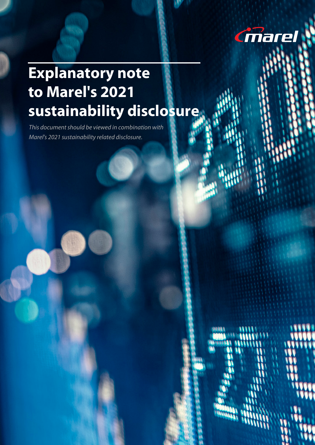

# **Explanatory note to Marel's 2021 sustainability disclosure**

*This document should be viewed in combination with Marel's 2021 sustainability related disclosure.*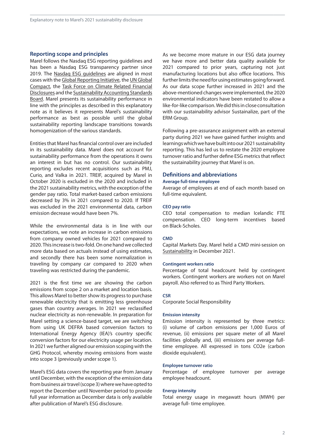# **Reporting scope and principles**

Marel follows the Nasdaq ESG reporting guidelines and has been a Nasdaq ESG transparency partner since 2019. The Nasdaq ESG [guidelines](https://www.nasdaq.com/ESG-Guide) are aligned in most cases with the Global [Reporting](https://www.globalreporting.org/) Initiative, the UN [Global](https://www.unglobalcompact.org/)  [Compact,](https://www.unglobalcompact.org/) the Task Force on Climate Related [Financial](https://www.fsb-tcfd.org/)  [Disclosures](https://www.fsb-tcfd.org/) and the [Sustainability](https://www.sasb.org/) Accounting Standards [Board](https://www.sasb.org/). Marel presents its sustainability performance in line with the principles as described in this explanatory note as it believes it represents Marel's sustainability performance as best as possible until the global sustainability reporting landscape transitions towards homogenization of the various standards.

Entitiesthat Marel has financial control over are included in its sustainability data. Marel does not account for sustainability performance from the operations it owns an interest in but has no control. Our sustainability reporting excludes recent acquisitions such as PMJ, Curio, and Valka in 2021. TREIF, acquired by Marel in October 2020 is excluded in the 2020 and included in the 2021 sustainability metrics, with the exception of the gender pay ratio. Total market-based carbon emissions decreased by 3% in 2021 compared to 2020. If TREIF was excluded in the 2021 environmental data, carbon emission decrease would have been 7%.

While the environmental data is in line with our expectations, we note an increase in carbon emissions from company owned vehicles for 2021 compared to 2020. This increase is two-fold. On one hand we collected more data based on actuals instead of using estimates, and secondly there has been some normalization in traveling by company car compared to 2020 when traveling was restricted during the pandemic.

2021 is the first time we are showing the carbon emissions from scope 2 on a market and location basis. This allows Marel to better show its progress to purchase renewable electricity that is emitting less greenhouse gases than country averages. In 2021 we reclassified nuclear electricity as non-renewable. In preparation for Marel setting a science-based target, we are switching from using UK DEFRA based conversion factors to International Energy Agency (IEA)'s country specific conversion factors for our electricity usage per location. In 2021 we further aligned our emission scoping with the GHG Protocol, whereby moving emissions from waste into scope 3 (previously under scope 1).

Marel's ESG data covers the reporting year from January until December, with the exception of the emission data from business air travel (scope 3) where we have opted to report the December until November period to provide full year information as December data is only available after publication of Marel's ESG disclosure.

As we become more mature in our ESG data journey we have more and better data quality available for 2021 compared to prior years, capturing not just manufacturing locations but also office locations. This further limits the need for using estimates going forward. As our data scope further increased in 2021 and the above-mentioned changes were implemented,the 2020 environmental indicators have been restated to allow a like-for-like comparison.Wedidthisinclose consultation with our sustainability advisor Sustainalize, part of the ERM Group.

Following a pre-assurance assignment with an external party during 2021 we have gained further insights and learnings which we have built into our 2021 sustainability reporting. This has led us to restate the 2020 employee turnover ratio and further define FSG metrics that reflect the sustainability journey that Marel is on.

# **Definitions and abbreviations**

# **Average full-time employee**

Average of employees at end of each month based on full-time equivalent.

# **CEO pay ratio**

CEO total compensation to median Icelandic FTE compensation. CEO long-term incentives based on Black-Scholes.

#### **CMD**

Capital Markets Day. Marel held a CMD mini-session on [Sustainability](https://www.marel.com/en/investors/understanding-marel/capital-markets-day-2021#sustainability) in December 2021.

## **Contingent workers ratio**

Percentage of total headcount held by contingent workers. Contingent workers are workers not on Marel payroll. Also referred to as Third Party Workers.

#### **CSR**

Corporate Social Responsibility

## **Emission intensity**

Emission intensity is represented by three metrics: (i) volume of carbon emissions per 1,000 Euros of revenue, (ii) emissions per square meter of all Marel facilities globally and, (iii) emissions per average fulltime employee. All expressed in tons CO2e (carbon dioxide equivalent).

### **Employee turnover ratio**

Percentage of employee turnover per average employee headcount.

#### **Energy intensity**

Total energy usage in megawatt hours (MWH) per average full- time employee.